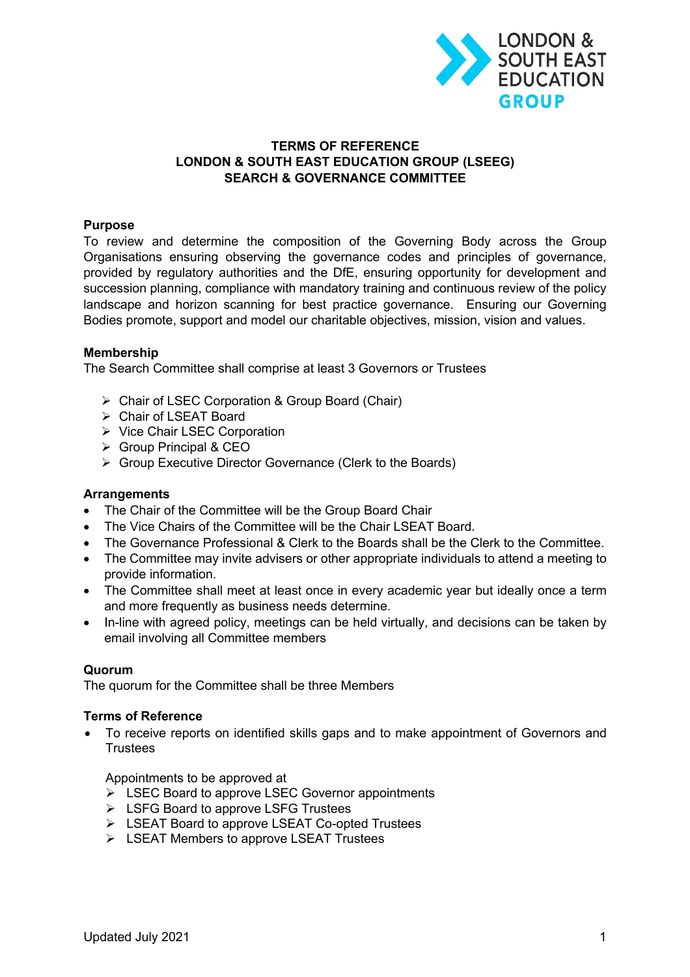

# **TERMS OF REFERENCE LONDON & SOUTH EAST EDUCATION GROUP (LSEEG) SEARCH & GOVERNANCE COMMITTEE**

# **Purpose**

To review and determine the composition of the Governing Body across the Group Organisations ensuring observing the governance codes and principles of governance, provided by regulatory authorities and the DfE, ensuring opportunity for development and succession planning, compliance with mandatory training and continuous review of the policy landscape and horizon scanning for best practice governance. Ensuring our Governing Bodies promote, support and model our charitable objectives, mission, vision and values.

### **Membership**

The Search Committee shall comprise at least 3 Governors or Trustees

- Ø Chair of LSEC Corporation & Group Board (Chair)
- $\triangleright$  Chair of LSEAT Board
- Ø Vice Chair LSEC Corporation
- $\triangleright$  Group Principal & CEO
- $\triangleright$  Group Executive Director Governance (Clerk to the Boards)

#### **Arrangements**

- The Chair of the Committee will be the Group Board Chair
- The Vice Chairs of the Committee will be the Chair LSEAT Board.
- The Governance Professional & Clerk to the Boards shall be the Clerk to the Committee.
- The Committee may invite advisers or other appropriate individuals to attend a meeting to provide information.
- The Committee shall meet at least once in every academic year but ideally once a term and more frequently as business needs determine.
- In-line with agreed policy, meetings can be held virtually, and decisions can be taken by email involving all Committee members

# **Quorum**

The quorum for the Committee shall be three Members

### **Terms of Reference**

• To receive reports on identified skills gaps and to make appointment of Governors and **Trustees** 

Appointments to be approved at

- $\triangleright$  LSEC Board to approve LSEC Governor appointments
- $\triangleright$  LSFG Board to approve LSFG Trustees
- Ø LSEAT Board to approve LSEAT Co-opted Trustees
- Ø LSEAT Members to approve LSEAT Trustees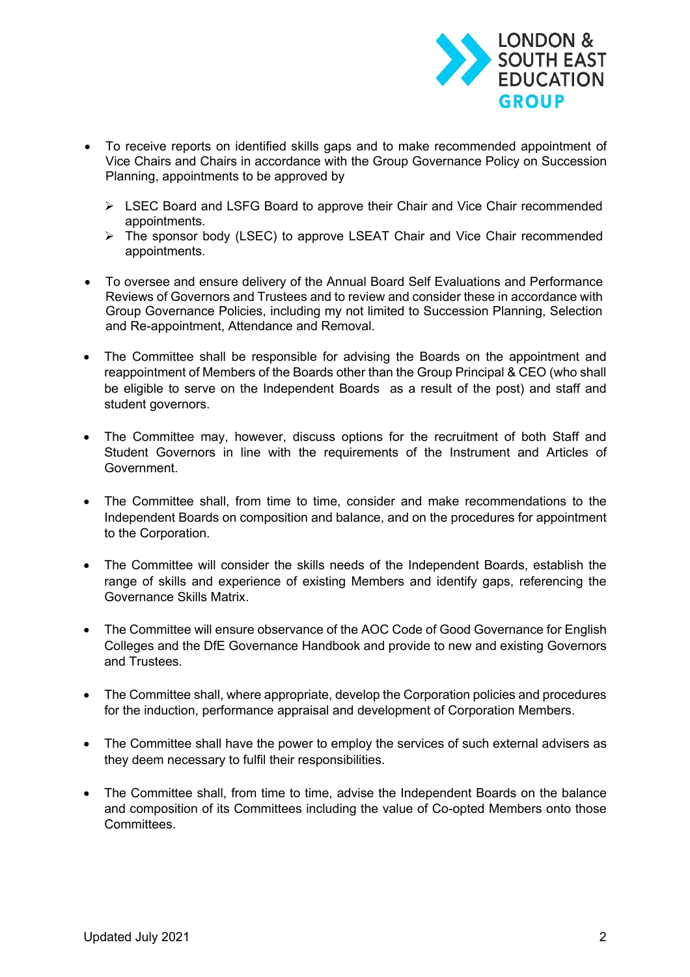

- To receive reports on identified skills gaps and to make recommended appointment of Vice Chairs and Chairs in accordance with the Group Governance Policy on Succession Planning, appointments to be approved by
	- Ø LSEC Board and LSFG Board to approve their Chair and Vice Chair recommended appointments.
	- Ø The sponsor body (LSEC) to approve LSEAT Chair and Vice Chair recommended appointments.
- To oversee and ensure delivery of the Annual Board Self Evaluations and Performance Reviews of Governors and Trustees and to review and consider these in accordance with Group Governance Policies, including my not limited to Succession Planning, Selection and Re-appointment, Attendance and Removal.
- The Committee shall be responsible for advising the Boards on the appointment and reappointment of Members of the Boards other than the Group Principal & CEO (who shall be eligible to serve on the Independent Boards as a result of the post) and staff and student governors.
- The Committee may, however, discuss options for the recruitment of both Staff and Student Governors in line with the requirements of the Instrument and Articles of Government.
- The Committee shall, from time to time, consider and make recommendations to the Independent Boards on composition and balance, and on the procedures for appointment to the Corporation.
- The Committee will consider the skills needs of the Independent Boards, establish the range of skills and experience of existing Members and identify gaps, referencing the Governance Skills Matrix.
- The Committee will ensure observance of the AOC Code of Good Governance for English Colleges and the DfE Governance Handbook and provide to new and existing Governors and Trustees.
- The Committee shall, where appropriate, develop the Corporation policies and procedures for the induction, performance appraisal and development of Corporation Members.
- The Committee shall have the power to employ the services of such external advisers as they deem necessary to fulfil their responsibilities.
- The Committee shall, from time to time, advise the Independent Boards on the balance and composition of its Committees including the value of Co-opted Members onto those **Committees**